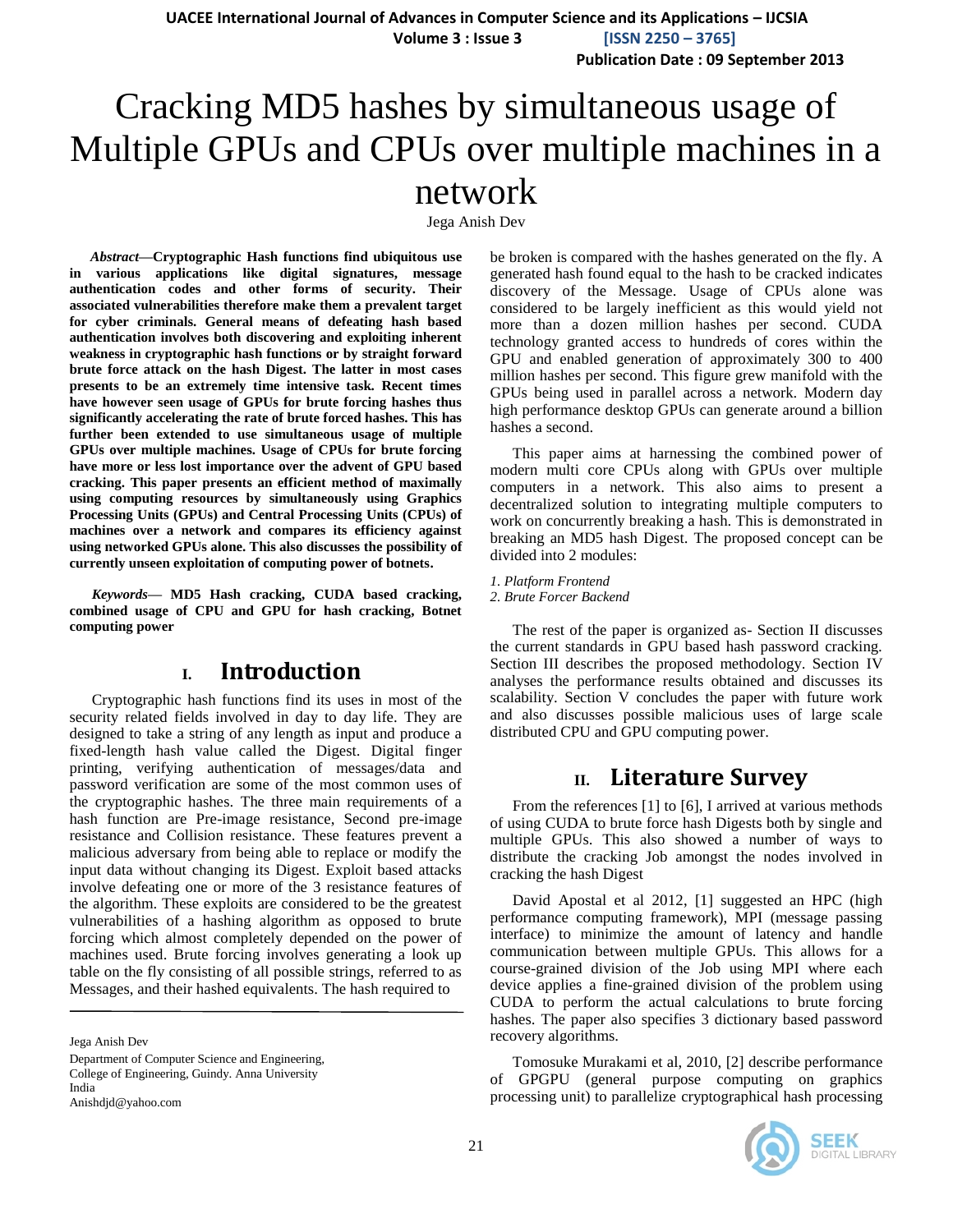# Cracking MD5 hashes by simultaneous usage of Multiple GPUs and CPUs over multiple machines in a network

Jega Anish Dev

*Abstract***—Cryptographic Hash functions find ubiquitous use in various applications like digital signatures, message authentication codes and other forms of security. Their associated vulnerabilities therefore make them a prevalent target for cyber criminals. General means of defeating hash based authentication involves both discovering and exploiting inherent weakness in cryptographic hash functions or by straight forward brute force attack on the hash Digest. The latter in most cases presents to be an extremely time intensive task. Recent times have however seen usage of GPUs for brute forcing hashes thus significantly accelerating the rate of brute forced hashes. This has further been extended to use simultaneous usage of multiple GPUs over multiple machines. Usage of CPUs for brute forcing have more or less lost importance over the advent of GPU based cracking. This paper presents an efficient method of maximally using computing resources by simultaneously using Graphics Processing Units (GPUs) and Central Processing Units (CPUs) of machines over a network and compares its efficiency against using networked GPUs alone. This also discusses the possibility of currently unseen exploitation of computing power of botnets.**

*Keywords—* **MD5 Hash cracking, CUDA based cracking, combined usage of CPU and GPU for hash cracking, Botnet computing power**

## **I. Introduction**

Cryptographic hash functions find its uses in most of the security related fields involved in day to day life. They are designed to take a [string](http://en.wikipedia.org/wiki/String_%28computer_science%29) of any length as input and produce a fixed-length hash value called the Digest. Digital finger printing, verifying authentication of messages/data and password verification are some of the most common uses of the cryptographic hashes. The three main requirements of a hash function are Pre-image resistance, Second pre-image resistance and [Collision resistance.](http://en.wikipedia.org/wiki/Collision_resistance) These features prevent a malicious adversary from being able to replace or modify the input data without changing its Digest. Exploit based attacks involve defeating one or more of the 3 resistance features of the algorithm. These exploits are considered to be the greatest vulnerabilities of a hashing algorithm as opposed to brute forcing which almost completely depended on the power of machines used. Brute forcing involves generating a look up table on the fly consisting of all possible strings, referred to as Messages, and their hashed equivalents. The hash required to

Jega Anish Dev

Department of Computer Science and Engineering, College of Engineering, Guindy. Anna University India

Anishdjd@yahoo.com

be broken is compared with the hashes generated on the fly. A generated hash found equal to the hash to be cracked indicates discovery of the Message. Usage of CPUs alone was considered to be largely inefficient as this would yield not more than a dozen million hashes per second. CUDA technology granted access to hundreds of cores within the GPU and enabled generation of approximately 300 to 400 million hashes per second. This figure grew manifold with the GPUs being used in parallel across a network. Modern day high performance desktop GPUs can generate around a billion hashes a second.

This paper aims at harnessing the combined power of modern multi core CPUs along with GPUs over multiple computers in a network. This also aims to present a decentralized solution to integrating multiple computers to work on concurrently breaking a hash. This is demonstrated in breaking an MD5 hash Digest. The proposed concept can be divided into 2 modules:

*1. Platform Frontend 2. Brute Forcer Backend*

The rest of the paper is organized as- Section II discusses the current standards in GPU based hash password cracking. Section III describes the proposed methodology. Section IV analyses the performance results obtained and discusses its scalability. Section V concludes the paper with future work and also discusses possible malicious uses of large scale distributed CPU and GPU computing power.

# **II. Literature Survey**

From the references [1] to [6], I arrived at various methods of using CUDA to brute force hash Digests both by single and multiple GPUs. This also showed a number of ways to distribute the cracking Job amongst the nodes involved in cracking the hash Digest

David Apostal et al 2012, [1] suggested an HPC (high performance computing framework), MPI (message passing interface) to minimize the amount of latency and handle communication between multiple GPUs. This allows for a course-grained division of the Job using MPI where each device applies a fine-grained division of the problem using CUDA to perform the actual calculations to brute forcing hashes. The paper also specifies 3 dictionary based password recovery algorithms.

Tomosuke Murakami et al, 2010, [2] describe performance of GPGPU (general purpose computing on graphics processing unit) to parallelize cryptographical hash processing

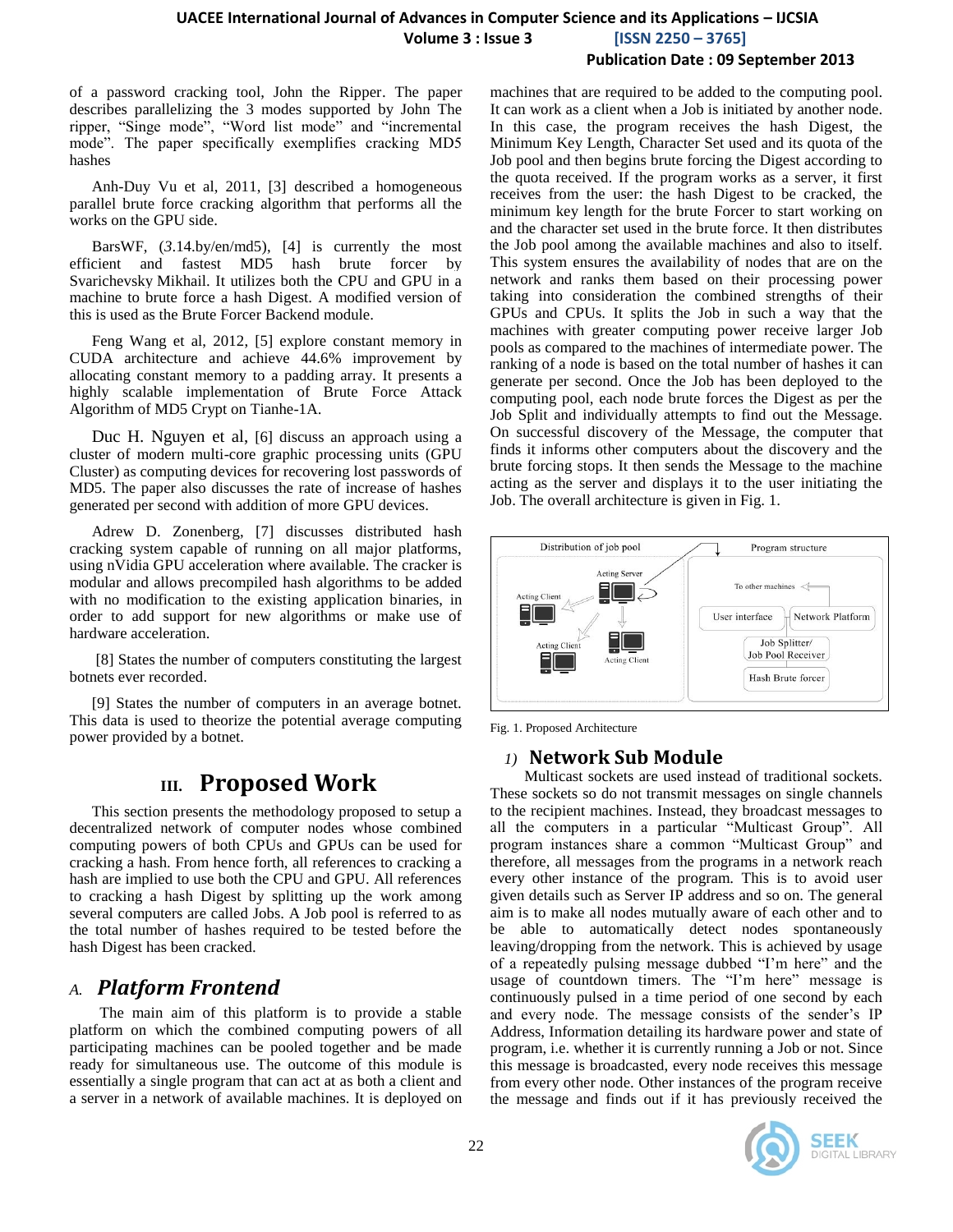of a password cracking tool, John the Ripper. The paper describes parallelizing the 3 modes supported by John The ripper, "Singe mode", "Word list mode" and "incremental mode". The paper specifically exemplifies cracking MD5 hashes

Anh-Duy Vu et al, 2011, [3] described a homogeneous parallel brute force cracking algorithm that performs all the works on the GPU side.

BarsWF, (*3*.14.by/en/md5), [4] is currently the most efficient and fastest MD5 hash brute forcer by [Svarichevsky](http://3.14.by/) Mikhail. It utilizes both the CPU and GPU in a machine to brute force a hash Digest. A modified version of this is used as the Brute Forcer Backend module.

Feng Wang et al, 2012, [5] explore constant memory in CUDA architecture and achieve 44.6% improvement by allocating constant memory to a padding array. It presents a highly scalable implementation of Brute Force Attack Algorithm of MD5 Crypt on Tianhe-1A.

Duc H. Nguyen et al, [6] discuss an approach using a cluster of modern multi-core graphic processing units (GPU Cluster) as computing devices for recovering lost passwords of MD5. The paper also discusses the rate of increase of hashes generated per second with addition of more GPU devices.

Adrew D. Zonenberg, [7] discusses distributed hash cracking system capable of running on all major platforms, using nVidia GPU acceleration where available. The cracker is modular and allows precompiled hash algorithms to be added with no modification to the existing application binaries, in order to add support for new algorithms or make use of hardware acceleration.

[8] States the number of computers constituting the largest botnets ever recorded.

[9] States the number of computers in an average botnet. This data is used to theorize the potential average computing power provided by a botnet.

# **III. Proposed Work**

This section presents the methodology proposed to setup a decentralized network of computer nodes whose combined computing powers of both CPUs and GPUs can be used for cracking a hash. From hence forth, all references to cracking a hash are implied to use both the CPU and GPU. All references to cracking a hash Digest by splitting up the work among several computers are called Jobs. A Job pool is referred to as the total number of hashes required to be tested before the hash Digest has been cracked.

# *A. Platform Frontend*

 The main aim of this platform is to provide a stable platform on which the combined computing powers of all participating machines can be pooled together and be made ready for simultaneous use. The outcome of this module is essentially a single program that can act at as both a client and a server in a network of available machines. It is deployed on machines that are required to be added to the computing pool. It can work as a client when a Job is initiated by another node. In this case, the program receives the hash Digest, the Minimum Key Length, Character Set used and its quota of the Job pool and then begins brute forcing the Digest according to the quota received. If the program works as a server, it first receives from the user: the hash Digest to be cracked, the minimum key length for the brute Forcer to start working on and the character set used in the brute force. It then distributes the Job pool among the available machines and also to itself. This system ensures the availability of nodes that are on the network and ranks them based on their processing power taking into consideration the combined strengths of their GPUs and CPUs. It splits the Job in such a way that the machines with greater computing power receive larger Job pools as compared to the machines of intermediate power. The ranking of a node is based on the total number of hashes it can generate per second. Once the Job has been deployed to the computing pool, each node brute forces the Digest as per the Job Split and individually attempts to find out the Message. On successful discovery of the Message, the computer that finds it informs other computers about the discovery and the brute forcing stops. It then sends the Message to the machine acting as the server and displays it to the user initiating the Job. The overall architecture is given in Fig. 1.



Fig. 1. Proposed Architecture

### *1)* **Network Sub Module**

 Multicast sockets are used instead of traditional sockets. These sockets so do not transmit messages on single channels to the recipient machines. Instead, they broadcast messages to all the computers in a particular "Multicast Group". All program instances share a common "Multicast Group" and therefore, all messages from the programs in a network reach every other instance of the program. This is to avoid user given details such as Server IP address and so on. The general aim is to make all nodes mutually aware of each other and to be able to automatically detect nodes spontaneously leaving/dropping from the network. This is achieved by usage of a repeatedly pulsing message dubbed "I'm here" and the usage of countdown timers. The "I'm here" message is continuously pulsed in a time period of one second by each and every node. The message consists of the sender's IP Address, Information detailing its hardware power and state of program, i.e. whether it is currently running a Job or not. Since this message is broadcasted, every node receives this message from every other node. Other instances of the program receive the message and finds out if it has previously received the

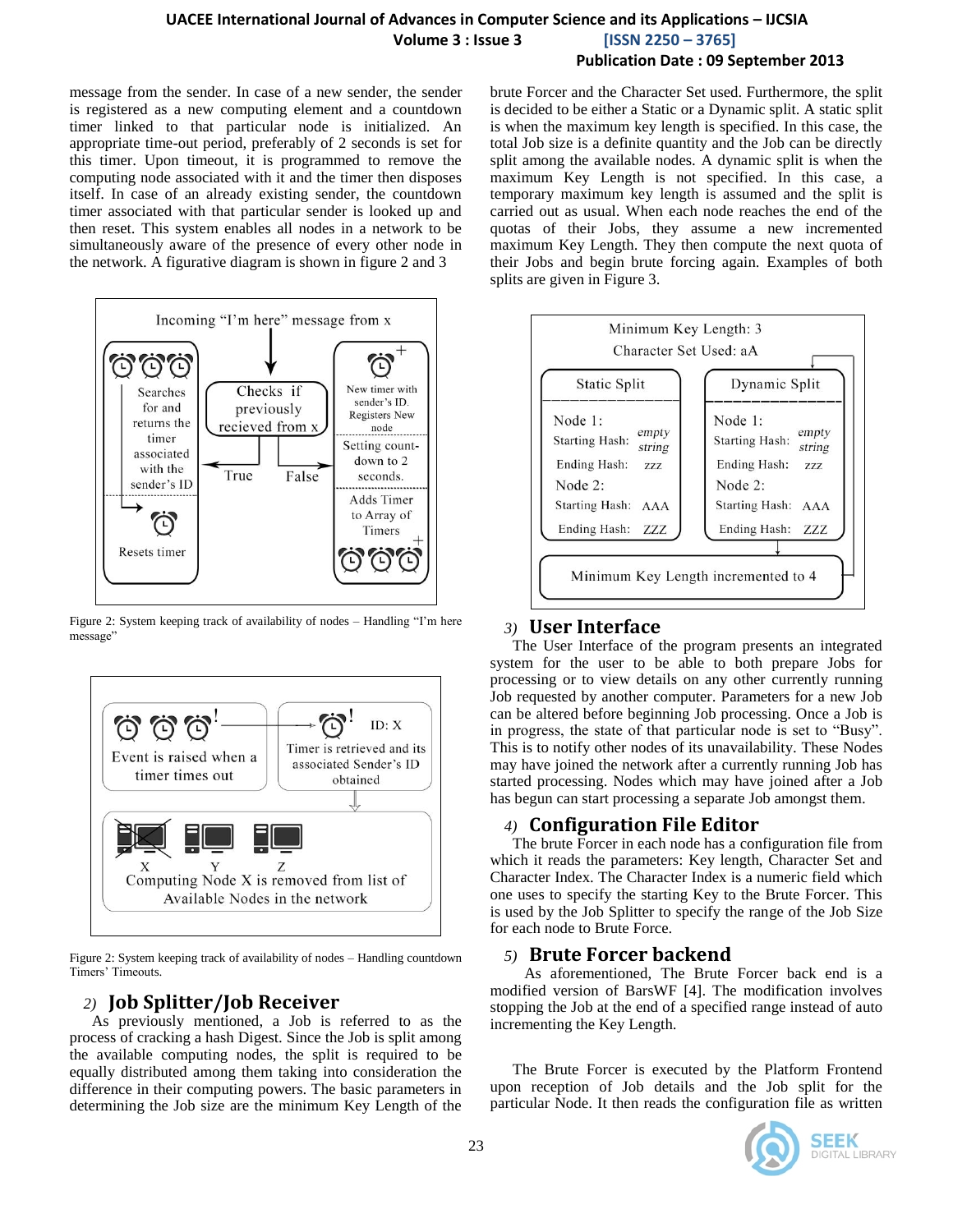message from the sender. In case of a new sender, the sender is registered as a new computing element and a countdown timer linked to that particular node is initialized. An appropriate time-out period, preferably of 2 seconds is set for this timer. Upon timeout, it is programmed to remove the computing node associated with it and the timer then disposes itself. In case of an already existing sender, the countdown timer associated with that particular sender is looked up and then reset. This system enables all nodes in a network to be simultaneously aware of the presence of every other node in the network. A figurative diagram is shown in figure 2 and 3



Figure 2: System keeping track of availability of nodes – Handling "I'm here message"



Figure 2: System keeping track of availability of nodes – Handling countdown Timers' Timeouts.

# *2)* **Job Splitter/Job Receiver**

As previously mentioned, a Job is referred to as the process of cracking a hash Digest. Since the Job is split among the available computing nodes, the split is required to be equally distributed among them taking into consideration the difference in their computing powers. The basic parameters in determining the Job size are the minimum Key Length of the brute Forcer and the Character Set used. Furthermore, the split is decided to be either a Static or a Dynamic split. A static split is when the maximum key length is specified. In this case, the total Job size is a definite quantity and the Job can be directly split among the available nodes. A dynamic split is when the maximum Key Length is not specified. In this case, a temporary maximum key length is assumed and the split is carried out as usual. When each node reaches the end of the quotas of their Jobs, they assume a new incremented maximum Key Length. They then compute the next quota of their Jobs and begin brute forcing again. Examples of both splits are given in Figure 3.



## *3)* **User Interface**

The User Interface of the program presents an integrated system for the user to be able to both prepare Jobs for processing or to view details on any other currently running Job requested by another computer. Parameters for a new Job can be altered before beginning Job processing. Once a Job is in progress, the state of that particular node is set to "Busy". This is to notify other nodes of its unavailability. These Nodes may have joined the network after a currently running Job has started processing. Nodes which may have joined after a Job has begun can start processing a separate Job amongst them.

## *4)* **Configuration File Editor**

The brute Forcer in each node has a configuration file from which it reads the parameters: Key length, Character Set and Character Index. The Character Index is a numeric field which one uses to specify the starting Key to the Brute Forcer. This is used by the Job Splitter to specify the range of the Job Size for each node to Brute Force.

### *5)* **Brute Forcer backend**

 As aforementioned, The Brute Forcer back end is a modified version of BarsWF [4]. The modification involves stopping the Job at the end of a specified range instead of auto incrementing the Key Length.

The Brute Forcer is executed by the Platform Frontend upon reception of Job details and the Job split for the particular Node. It then reads the configuration file as written

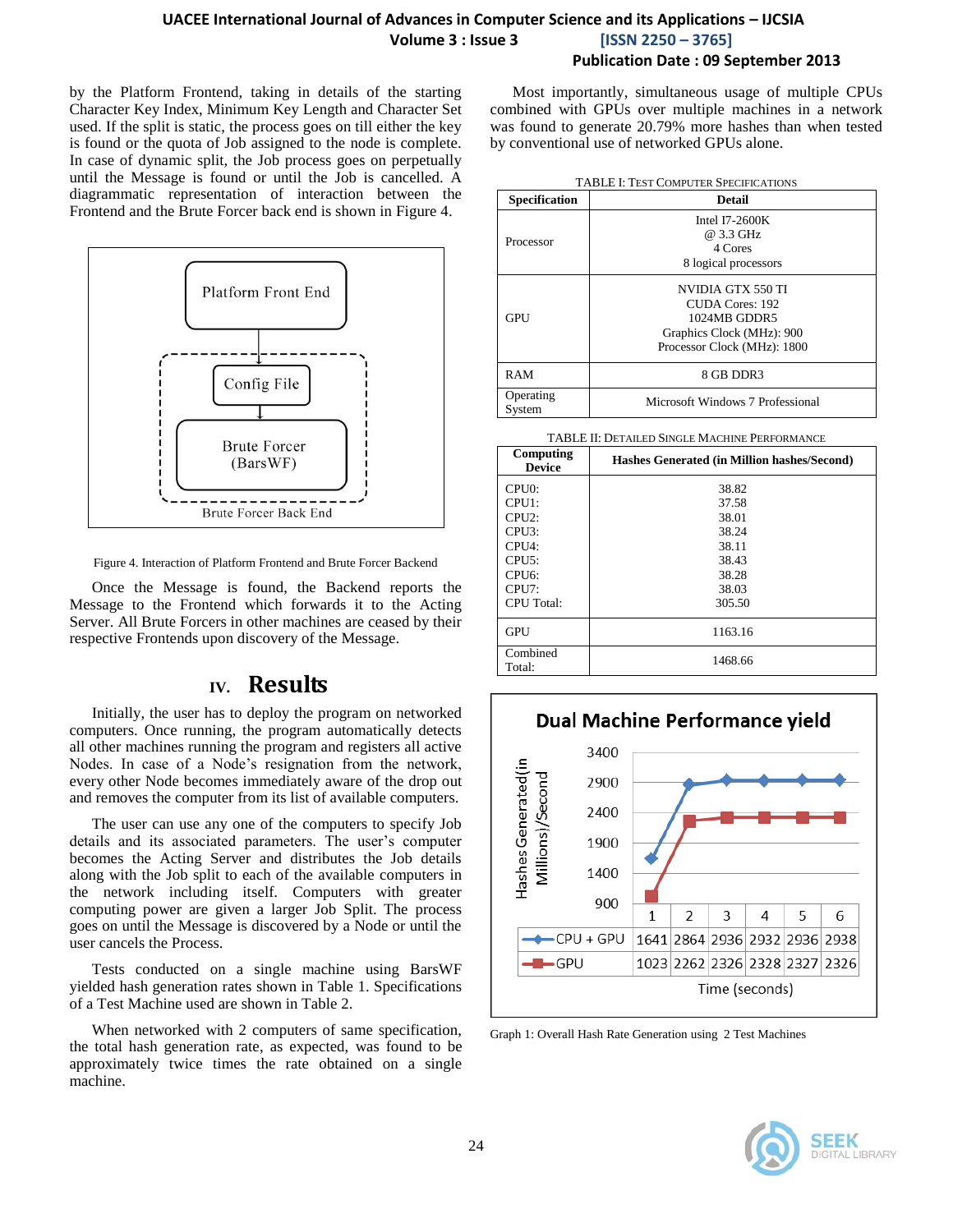by the Platform Frontend, taking in details of the starting Character Key Index, Minimum Key Length and Character Set used. If the split is static, the process goes on till either the key is found or the quota of Job assigned to the node is complete. In case of dynamic split, the Job process goes on perpetually until the Message is found or until the Job is cancelled. A diagrammatic representation of interaction between the Frontend and the Brute Forcer back end is shown in Figure 4.



Figure 4. Interaction of Platform Frontend and Brute Forcer Backend

Once the Message is found, the Backend reports the Message to the Frontend which forwards it to the Acting Server. All Brute Forcers in other machines are ceased by their respective Frontends upon discovery of the Message.

# **IV. Results**

Initially, the user has to deploy the program on networked computers. Once running, the program automatically detects all other machines running the program and registers all active Nodes. In case of a Node's resignation from the network, every other Node becomes immediately aware of the drop out and removes the computer from its list of available computers.

The user can use any one of the computers to specify Job details and its associated parameters. The user's computer becomes the Acting Server and distributes the Job details along with the Job split to each of the available computers in the network including itself. Computers with greater computing power are given a larger Job Split. The process goes on until the Message is discovered by a Node or until the user cancels the Process.

Tests conducted on a single machine using BarsWF yielded hash generation rates shown in Table 1. Specifications of a Test Machine used are shown in Table 2.

When networked with 2 computers of same specification, the total hash generation rate, as expected, was found to be approximately twice times the rate obtained on a single machine.

Most importantly, simultaneous usage of multiple CPUs combined with GPUs over multiple machines in a network was found to generate 20.79% more hashes than when tested by conventional use of networked GPUs alone.

| <b>TABLE I: TEST COMPUTER SPECIFICATIONS</b> |                                                                                                                  |  |
|----------------------------------------------|------------------------------------------------------------------------------------------------------------------|--|
| <b>Specification</b>                         | <b>Detail</b>                                                                                                    |  |
| Processor                                    | Intel $I7-2600K$<br>@ 3.3 GHz<br>4 Cores<br>8 logical processors                                                 |  |
| <b>GPU</b>                                   | NVIDIA GTX 550 TI<br>CUDA Cores: 192<br>1024MB GDDR5<br>Graphics Clock (MHz): 900<br>Processor Clock (MHz): 1800 |  |
| RAM                                          | 8 GB DDR3                                                                                                        |  |
| Operating<br>System                          | Microsoft Windows 7 Professional                                                                                 |  |

#### TABLE II: DETAILED SINGLE MACHINE PERFORMANCE

| Computing<br><b>Device</b> | Hashes Generated (in Million hashes/Second) |
|----------------------------|---------------------------------------------|
| CPU0:                      | 38.82                                       |
| CPU1:                      | 37.58                                       |
| CPI12:                     | 38.01                                       |
| CPU3:                      | 38.24                                       |
| CPI14:                     | 38.11                                       |
| CPIJ5:                     | 38.43                                       |
| CPIJ6:                     | 38.28                                       |
| CPIJ:                      | 38.03                                       |
| <b>CPU</b> Total:          | 305.50                                      |
| <b>GPU</b>                 | 1163.16                                     |
| Combined<br>Total:         | 1468.66                                     |



Graph 1: Overall Hash Rate Generation using 2 Test Machines